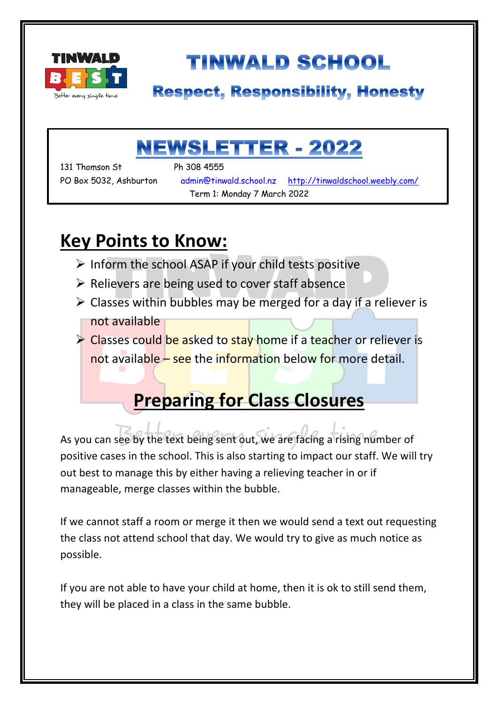

# **TINWALD SCHOOL**

### **Respect, Responsibility, Honesty**

## **NEWSLETTER - 2022**

131 Thomson St Ph 308 4555

۱

PO Box 5032, Ashburton admin@tinwald.school.nz http://tinwaldschool.weebly.com/ Term 1: Monday 7 March 2022

### **Key Points to Know:**

- $\triangleright$  Inform the school ASAP if your child tests positive
- $\triangleright$  Relievers are being used to cover staff absence
- $\triangleright$  Classes within bubbles may be merged for a day if a reliever is not available

**► Classes could be asked to stay home if a teacher or reliever is** not available – see the information below for more detail.

## **Preparing for Class Closures**

As you can see by the text being sent out, we are facing a rising number of positive cases in the school. This is also starting to impact our staff. We will try out best to manage this by either having a relieving teacher in or if manageable, merge classes within the bubble.

If we cannot staff a room or merge it then we would send a text out requesting the class not attend school that day. We would try to give as much notice as possible.

If you are not able to have your child at home, then it is ok to still send them, they will be placed in a class in the same bubble.